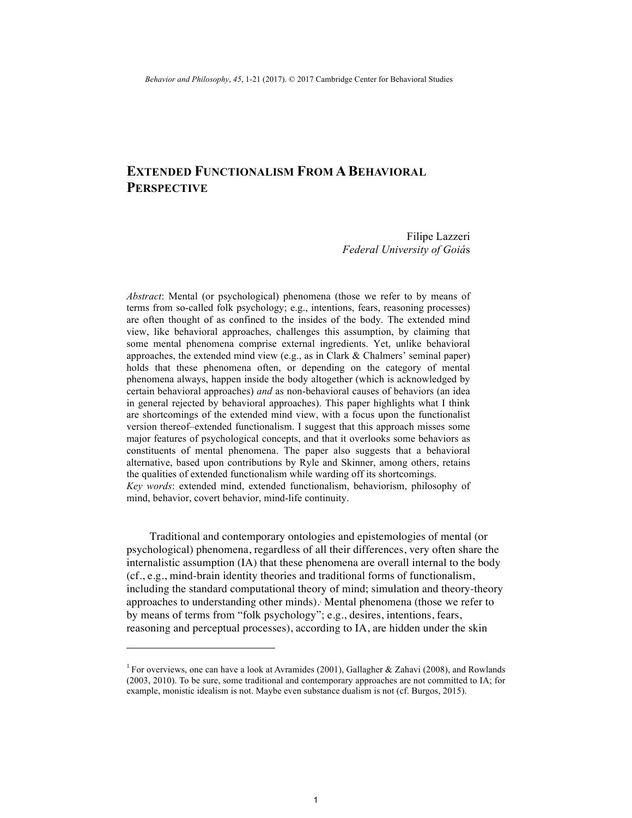# **EXTENDED FUNCTIONALISM FROM A BEHAVIORAL PERSPECTIVE**

Filipe Lazzeri *Federal University of Goiá*s

*Abstract*: Mental (or psychological) phenomena (those we refer to by means of terms from so-called folk psychology; e.g., intentions, fears, reasoning processes) are often thought of as confined to the insides of the body. The extended mind view, like behavioral approaches, challenges this assumption, by claiming that some mental phenomena comprise external ingredients. Yet, unlike behavioral approaches, the extended mind view (e.g., as in Clark & Chalmers' seminal paper) holds that these phenomena often, or depending on the category of mental phenomena always, happen inside the body altogether (which is acknowledged by certain behavioral approaches) *and* as non-behavioral causes of behaviors (an idea in general rejected by behavioral approaches). This paper highlights what I think are shortcomings of the extended mind view, with a focus upon the functionalist version thereof–extended functionalism. I suggest that this approach misses some major features of psychological concepts, and that it overlooks some behaviors as constituents of mental phenomena. The paper also suggests that a behavioral alternative, based upon contributions by Ryle and Skinner, among others, retains the qualities of extended functionalism while warding off its shortcomings. *Key words*: extended mind, extended functionalism, behaviorism, philosophy of mind, behavior, covert behavior, mind-life continuity.

Traditional and contemporary ontologies and epistemologies of mental (or psychological) phenomena, regardless of all their differences, very often share the internalistic assumption (IA) that these phenomena are overall internal to the body (cf., e.g., mind-brain identity theories and traditional forms of functionalism, including the standard computational theory of mind; simulation and theory-theory approaches to understanding other minds). Mental phenomena (those we refer to by means of terms from "folk psychology"; e.g., desires, intentions, fears, reasoning and perceptual processes), according to IA, are hidden under the skin

 $\overline{a}$ 

<sup>&</sup>lt;sup>1</sup> For overviews, one can have a look at Avramides (2001), Gallagher & Zahavi (2008), and Rowlands (2003, 2010). To be sure, some traditional and contemporary approaches are not committed to IA; for example, monistic idealism is not. Maybe even substance dualism is not (cf. Burgos, 2015).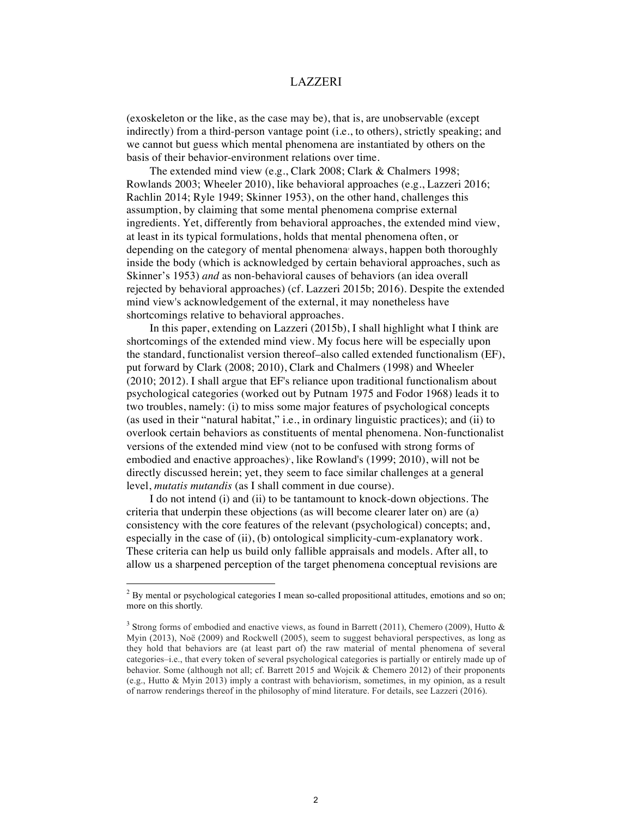(exoskeleton or the like, as the case may be), that is, are unobservable (except indirectly) from a third-person vantage point (i.e., to others), strictly speaking; and we cannot but guess which mental phenomena are instantiated by others on the basis of their behavior-environment relations over time.

The extended mind view (e.g., Clark 2008; Clark & Chalmers 1998; Rowlands 2003; Wheeler 2010), like behavioral approaches (e.g., Lazzeri 2016; Rachlin 2014; Ryle 1949; Skinner 1953), on the other hand, challenges this assumption, by claiming that some mental phenomena comprise external ingredients. Yet, differently from behavioral approaches, the extended mind view, at least in its typical formulations, holds that mental phenomena often, or depending on the category of mental phenomena always, happen both thoroughly inside the body (which is acknowledged by certain behavioral approaches, such as Skinner's 1953) *and* as non-behavioral causes of behaviors (an idea overall rejected by behavioral approaches) (cf. Lazzeri 2015b; 2016). Despite the extended mind view's acknowledgement of the external, it may nonetheless have shortcomings relative to behavioral approaches.

In this paper, extending on Lazzeri (2015b), I shall highlight what I think are shortcomings of the extended mind view. My focus here will be especially upon the standard, functionalist version thereof–also called extended functionalism (EF), put forward by Clark (2008; 2010), Clark and Chalmers (1998) and Wheeler (2010; 2012). I shall argue that EF's reliance upon traditional functionalism about psychological categories (worked out by Putnam 1975 and Fodor 1968) leads it to two troubles, namely: (i) to miss some major features of psychological concepts (as used in their "natural habitat," i.e., in ordinary linguistic practices); and (ii) to overlook certain behaviors as constituents of mental phenomena. Non-functionalist versions of the extended mind view (not to be confused with strong forms of embodied and enactive approaches)<sup>,</sup>, like Rowland's (1999; 2010), will not be directly discussed herein; yet, they seem to face similar challenges at a general level, *mutatis mutandis* (as I shall comment in due course).

I do not intend (i) and (ii) to be tantamount to knock-down objections. The criteria that underpin these objections (as will become clearer later on) are (a) consistency with the core features of the relevant (psychological) concepts; and, especially in the case of (ii), (b) ontological simplicity-cum-explanatory work. These criteria can help us build only fallible appraisals and models. After all, to allow us a sharpened perception of the target phenomena conceptual revisions are

<sup>&</sup>lt;sup>2</sup> By mental or psychological categories I mean so-called propositional attitudes, emotions and so on; more on this shortly.

<sup>&</sup>lt;sup>3</sup> Strong forms of embodied and enactive views, as found in Barrett (2011), Chemero (2009), Hutto & Myin (2013), Noë (2009) and Rockwell (2005), seem to suggest behavioral perspectives, as long as they hold that behaviors are (at least part of) the raw material of mental phenomena of several categories–i.e., that every token of several psychological categories is partially or entirely made up of behavior. Some (although not all; cf. Barrett 2015 and Wojcik & Chemero 2012) of their proponents (e.g., Hutto & Myin 2013) imply a contrast with behaviorism, sometimes, in my opinion, as a result of narrow renderings thereof in the philosophy of mind literature. For details, see Lazzeri (2016).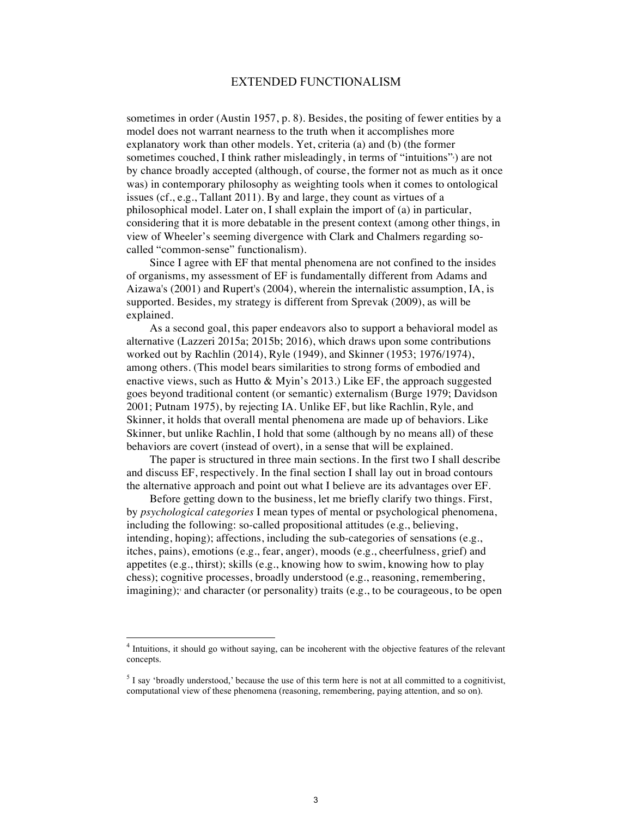sometimes in order (Austin 1957, p. 8). Besides, the positing of fewer entities by a model does not warrant nearness to the truth when it accomplishes more explanatory work than other models. Yet, criteria (a) and (b) (the former sometimes couched, I think rather misleadingly, in terms of "intuitions" are not by chance broadly accepted (although, of course, the former not as much as it once was) in contemporary philosophy as weighting tools when it comes to ontological issues (cf., e.g., Tallant 2011). By and large, they count as virtues of a philosophical model. Later on, I shall explain the import of (a) in particular, considering that it is more debatable in the present context (among other things, in view of Wheeler's seeming divergence with Clark and Chalmers regarding socalled "common-sense" functionalism).

Since I agree with EF that mental phenomena are not confined to the insides of organisms, my assessment of EF is fundamentally different from Adams and Aizawa's (2001) and Rupert's (2004), wherein the internalistic assumption, IA, is supported. Besides, my strategy is different from Sprevak (2009), as will be explained.

As a second goal, this paper endeavors also to support a behavioral model as alternative (Lazzeri 2015a; 2015b; 2016), which draws upon some contributions worked out by Rachlin (2014), Ryle (1949), and Skinner (1953; 1976/1974), among others. (This model bears similarities to strong forms of embodied and enactive views, such as Hutto & Myin's 2013.) Like EF, the approach suggested goes beyond traditional content (or semantic) externalism (Burge 1979; Davidson 2001; Putnam 1975), by rejecting IA. Unlike EF, but like Rachlin, Ryle, and Skinner, it holds that overall mental phenomena are made up of behaviors. Like Skinner, but unlike Rachlin, I hold that some (although by no means all) of these behaviors are covert (instead of overt), in a sense that will be explained.

The paper is structured in three main sections. In the first two I shall describe and discuss EF, respectively. In the final section I shall lay out in broad contours the alternative approach and point out what I believe are its advantages over EF.

Before getting down to the business, let me briefly clarify two things. First, by *psychological categories* I mean types of mental or psychological phenomena, including the following: so-called propositional attitudes (e.g., believing, intending, hoping); affections, including the sub-categories of sensations (e.g., itches, pains), emotions (e.g., fear, anger), moods (e.g., cheerfulness, grief) and appetites (e.g., thirst); skills (e.g., knowing how to swim, knowing how to play chess); cognitive processes, broadly understood (e.g., reasoning, remembering, imagining); and character (or personality) traits (e.g., to be courageous, to be open

 <sup>4</sup> Intuitions, it should go without saying, can be incoherent with the objective features of the relevant concepts.

 $<sup>5</sup>$  I say 'broadly understood,' because the use of this term here is not at all committed to a cognitivist,</sup> computational view of these phenomena (reasoning, remembering, paying attention, and so on).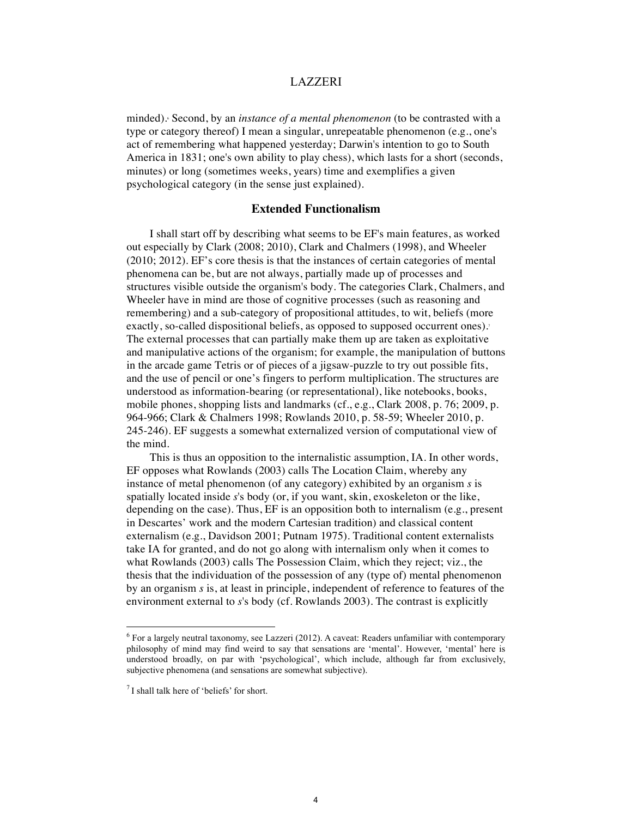minded). Second, by an *instance of a mental phenomenon* (to be contrasted with a type or category thereof) I mean a singular, unrepeatable phenomenon (e.g., one's act of remembering what happened yesterday; Darwin's intention to go to South America in 1831; one's own ability to play chess), which lasts for a short (seconds, minutes) or long (sometimes weeks, years) time and exemplifies a given psychological category (in the sense just explained).

## **Extended Functionalism**

I shall start off by describing what seems to be EF's main features, as worked out especially by Clark (2008; 2010), Clark and Chalmers (1998), and Wheeler (2010; 2012). EF's core thesis is that the instances of certain categories of mental phenomena can be, but are not always, partially made up of processes and structures visible outside the organism's body. The categories Clark, Chalmers, and Wheeler have in mind are those of cognitive processes (such as reasoning and remembering) and a sub-category of propositional attitudes, to wit, beliefs (more exactly, so-called dispositional beliefs, as opposed to supposed occurrent ones).<sup>7</sup> The external processes that can partially make them up are taken as exploitative and manipulative actions of the organism; for example, the manipulation of buttons in the arcade game Tetris or of pieces of a jigsaw-puzzle to try out possible fits, and the use of pencil or one's fingers to perform multiplication. The structures are understood as information-bearing (or representational), like notebooks, books, mobile phones, shopping lists and landmarks (cf., e.g., Clark 2008, p. 76; 2009, p. 964-966; Clark & Chalmers 1998; Rowlands 2010, p. 58-59; Wheeler 2010, p. 245-246). EF suggests a somewhat externalized version of computational view of the mind.

This is thus an opposition to the internalistic assumption, IA. In other words, EF opposes what Rowlands (2003) calls The Location Claim, whereby any instance of metal phenomenon (of any category) exhibited by an organism *s* is spatially located inside *s*'s body (or, if you want, skin, exoskeleton or the like, depending on the case). Thus, EF is an opposition both to internalism (e.g., present in Descartes' work and the modern Cartesian tradition) and classical content externalism (e.g., Davidson 2001; Putnam 1975). Traditional content externalists take IA for granted, and do not go along with internalism only when it comes to what Rowlands (2003) calls The Possession Claim, which they reject; viz., the thesis that the individuation of the possession of any (type of) mental phenomenon by an organism *s* is, at least in principle, independent of reference to features of the environment external to *s*'s body (cf. Rowlands 2003). The contrast is explicitly

 $6$  For a largely neutral taxonomy, see Lazzeri (2012). A caveat: Readers unfamiliar with contemporary philosophy of mind may find weird to say that sensations are 'mental'. However, 'mental' here is understood broadly, on par with 'psychological', which include, although far from exclusively, subjective phenomena (and sensations are somewhat subjective).

 $<sup>7</sup>$  I shall talk here of 'beliefs' for short.</sup>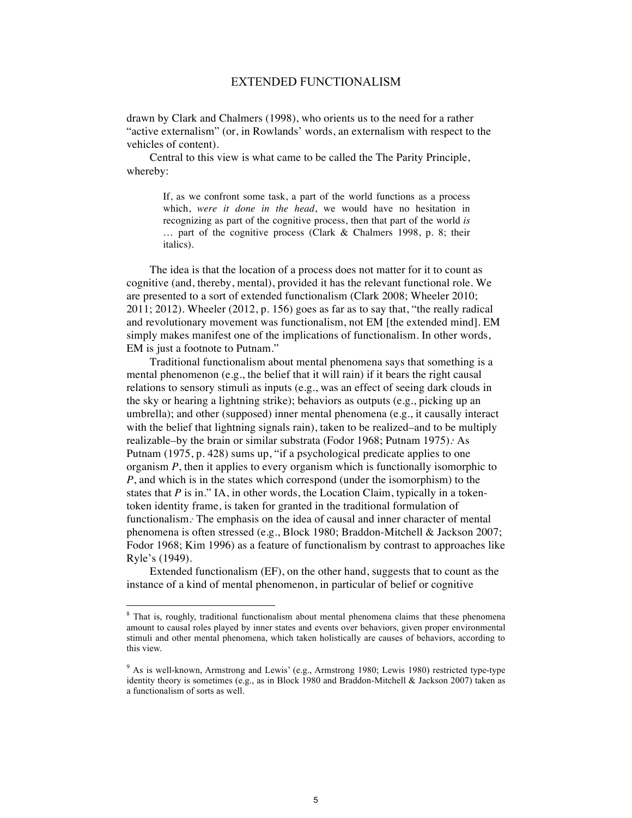drawn by Clark and Chalmers (1998), who orients us to the need for a rather "active externalism" (or, in Rowlands' words, an externalism with respect to the vehicles of content).

Central to this view is what came to be called the The Parity Principle, whereby:

> If, as we confront some task, a part of the world functions as a process which, *were it done in the head*, we would have no hesitation in recognizing as part of the cognitive process, then that part of the world *is* … part of the cognitive process (Clark & Chalmers 1998, p. 8; their italics).

The idea is that the location of a process does not matter for it to count as cognitive (and, thereby, mental), provided it has the relevant functional role. We are presented to a sort of extended functionalism (Clark 2008; Wheeler 2010; 2011; 2012). Wheeler (2012, p. 156) goes as far as to say that, "the really radical and revolutionary movement was functionalism, not EM [the extended mind]. EM simply makes manifest one of the implications of functionalism. In other words, EM is just a footnote to Putnam."

Traditional functionalism about mental phenomena says that something is a mental phenomenon (e.g., the belief that it will rain) if it bears the right causal relations to sensory stimuli as inputs (e.g., was an effect of seeing dark clouds in the sky or hearing a lightning strike); behaviors as outputs (e.g., picking up an umbrella); and other (supposed) inner mental phenomena (e.g., it causally interact with the belief that lightning signals rain), taken to be realized–and to be multiply realizable–by the brain or similar substrata (Fodor 1968; Putnam 1975). As Putnam (1975, p. 428) sums up, "if a psychological predicate applies to one organism *P*, then it applies to every organism which is functionally isomorphic to *P*, and which is in the states which correspond (under the isomorphism) to the states that  $P$  is in." IA, in other words, the Location Claim, typically in a tokentoken identity frame, is taken for granted in the traditional formulation of functionalism. The emphasis on the idea of causal and inner character of mental phenomena is often stressed (e.g., Block 1980; Braddon-Mitchell & Jackson 2007; Fodor 1968; Kim 1996) as a feature of functionalism by contrast to approaches like Ryle's (1949).

Extended functionalism (EF), on the other hand, suggests that to count as the instance of a kind of mental phenomenon, in particular of belief or cognitive

<sup>&</sup>lt;sup>8</sup> That is, roughly, traditional functionalism about mental phenomena claims that these phenomena amount to causal roles played by inner states and events over behaviors, given proper environmental stimuli and other mental phenomena, which taken holistically are causes of behaviors, according to this view.

<sup>&</sup>lt;sup>9</sup> As is well-known, Armstrong and Lewis' (e.g., Armstrong 1980; Lewis 1980) restricted type-type identity theory is sometimes (e.g., as in Block 1980 and Braddon-Mitchell & Jackson 2007) taken as a functionalism of sorts as well.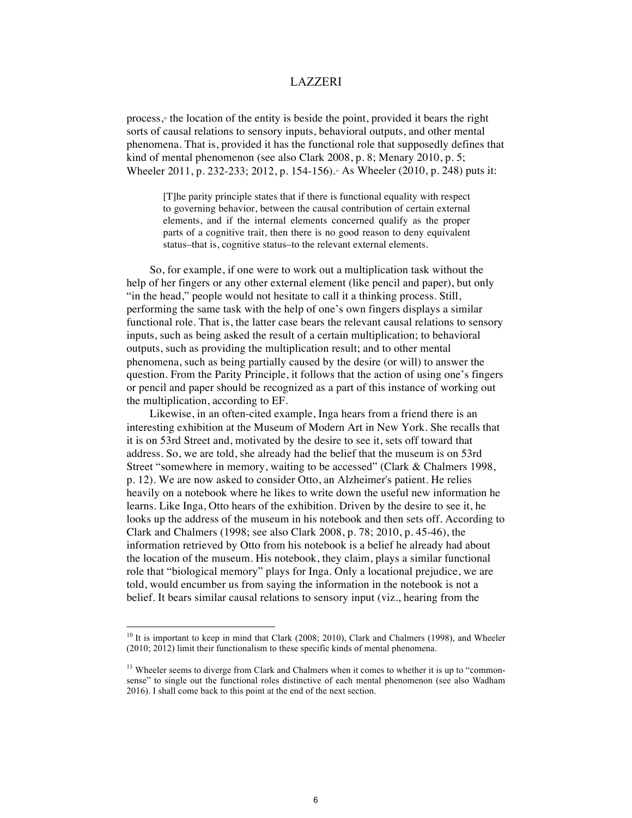process, $\psi$  the location of the entity is beside the point, provided it bears the right sorts of causal relations to sensory inputs, behavioral outputs, and other mental phenomena. That is, provided it has the functional role that supposedly defines that kind of mental phenomenon (see also Clark 2008, p. 8; Menary 2010, p. 5; Wheeler 2011, p. 232-233; 2012, p. 154-156).<sup>11</sup> As Wheeler (2010, p. 248) puts it:

[T]he parity principle states that if there is functional equality with respect to governing behavior, between the causal contribution of certain external elements, and if the internal elements concerned qualify as the proper parts of a cognitive trait, then there is no good reason to deny equivalent status–that is, cognitive status–to the relevant external elements.

So, for example, if one were to work out a multiplication task without the help of her fingers or any other external element (like pencil and paper), but only "in the head," people would not hesitate to call it a thinking process. Still, performing the same task with the help of one's own fingers displays a similar functional role. That is, the latter case bears the relevant causal relations to sensory inputs, such as being asked the result of a certain multiplication; to behavioral outputs, such as providing the multiplication result; and to other mental phenomena, such as being partially caused by the desire (or will) to answer the question. From the Parity Principle, it follows that the action of using one's fingers or pencil and paper should be recognized as a part of this instance of working out the multiplication, according to EF.

Likewise, in an often-cited example, Inga hears from a friend there is an interesting exhibition at the Museum of Modern Art in New York. She recalls that it is on 53rd Street and, motivated by the desire to see it, sets off toward that address. So, we are told, she already had the belief that the museum is on 53rd Street "somewhere in memory, waiting to be accessed" (Clark & Chalmers 1998, p. 12). We are now asked to consider Otto, an Alzheimer's patient. He relies heavily on a notebook where he likes to write down the useful new information he learns. Like Inga, Otto hears of the exhibition. Driven by the desire to see it, he looks up the address of the museum in his notebook and then sets off. According to Clark and Chalmers (1998; see also Clark 2008, p. 78; 2010, p. 45-46), the information retrieved by Otto from his notebook is a belief he already had about the location of the museum. His notebook, they claim, plays a similar functional role that "biological memory" plays for Inga. Only a locational prejudice, we are told, would encumber us from saying the information in the notebook is not a belief. It bears similar causal relations to sensory input (viz., hearing from the

<sup>&</sup>lt;sup>10</sup> It is important to keep in mind that Clark (2008; 2010), Clark and Chalmers (1998), and Wheeler (2010; 2012) limit their functionalism to these specific kinds of mental phenomena.

<sup>&</sup>lt;sup>11</sup> Wheeler seems to diverge from Clark and Chalmers when it comes to whether it is up to "commonsense" to single out the functional roles distinctive of each mental phenomenon (see also Wadham 2016). I shall come back to this point at the end of the next section.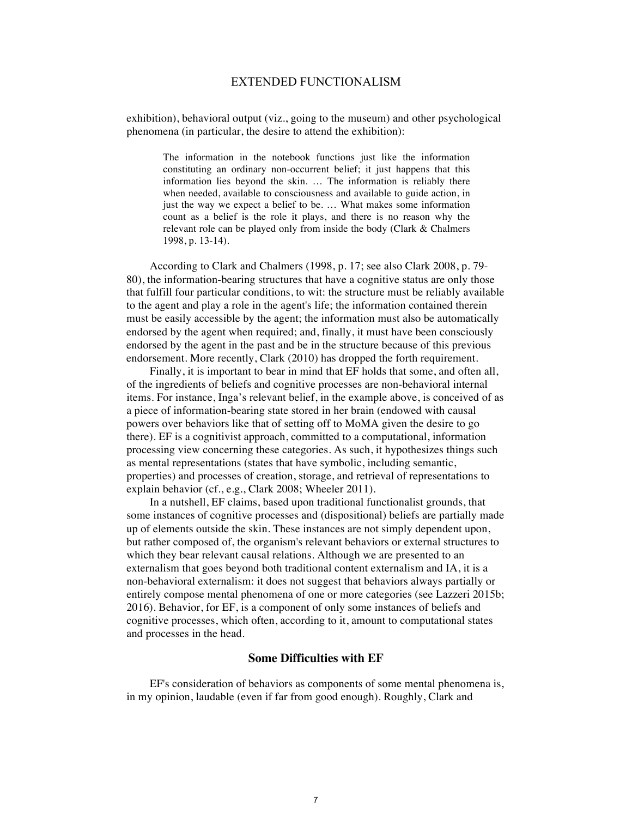exhibition), behavioral output (viz., going to the museum) and other psychological phenomena (in particular, the desire to attend the exhibition):

The information in the notebook functions just like the information constituting an ordinary non-occurrent belief; it just happens that this information lies beyond the skin. … The information is reliably there when needed, available to consciousness and available to guide action, in just the way we expect a belief to be. ... What makes some information count as a belief is the role it plays, and there is no reason why the relevant role can be played only from inside the body (Clark & Chalmers 1998, p. 13-14).

According to Clark and Chalmers (1998, p. 17; see also Clark 2008, p. 79- 80), the information-bearing structures that have a cognitive status are only those that fulfill four particular conditions, to wit: the structure must be reliably available to the agent and play a role in the agent's life; the information contained therein must be easily accessible by the agent; the information must also be automatically endorsed by the agent when required; and, finally, it must have been consciously endorsed by the agent in the past and be in the structure because of this previous endorsement. More recently, Clark (2010) has dropped the forth requirement.

Finally, it is important to bear in mind that EF holds that some, and often all, of the ingredients of beliefs and cognitive processes are non-behavioral internal items. For instance, Inga's relevant belief, in the example above, is conceived of as a piece of information-bearing state stored in her brain (endowed with causal powers over behaviors like that of setting off to MoMA given the desire to go there). EF is a cognitivist approach, committed to a computational, information processing view concerning these categories. As such, it hypothesizes things such as mental representations (states that have symbolic, including semantic, properties) and processes of creation, storage, and retrieval of representations to explain behavior (cf., e.g., Clark 2008; Wheeler 2011).

In a nutshell, EF claims, based upon traditional functionalist grounds, that some instances of cognitive processes and (dispositional) beliefs are partially made up of elements outside the skin. These instances are not simply dependent upon, but rather composed of, the organism's relevant behaviors or external structures to which they bear relevant causal relations. Although we are presented to an externalism that goes beyond both traditional content externalism and IA, it is a non-behavioral externalism: it does not suggest that behaviors always partially or entirely compose mental phenomena of one or more categories (see Lazzeri 2015b; 2016). Behavior, for EF, is a component of only some instances of beliefs and cognitive processes, which often, according to it, amount to computational states and processes in the head.

### **Some Difficulties with EF**

EF's consideration of behaviors as components of some mental phenomena is, in my opinion, laudable (even if far from good enough). Roughly, Clark and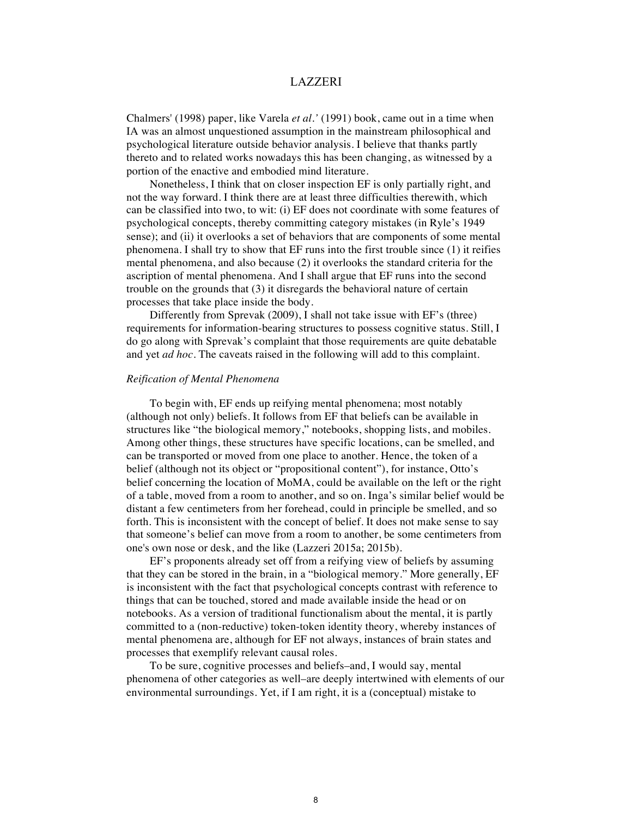Chalmers' (1998) paper, like Varela *et al.'* (1991) book, came out in a time when IA was an almost unquestioned assumption in the mainstream philosophical and psychological literature outside behavior analysis. I believe that thanks partly thereto and to related works nowadays this has been changing, as witnessed by a portion of the enactive and embodied mind literature.

Nonetheless, I think that on closer inspection EF is only partially right, and not the way forward. I think there are at least three difficulties therewith, which can be classified into two, to wit: (i) EF does not coordinate with some features of psychological concepts, thereby committing category mistakes (in Ryle's 1949 sense); and (ii) it overlooks a set of behaviors that are components of some mental phenomena. I shall try to show that EF runs into the first trouble since (1) it reifies mental phenomena, and also because (2) it overlooks the standard criteria for the ascription of mental phenomena. And I shall argue that EF runs into the second trouble on the grounds that (3) it disregards the behavioral nature of certain processes that take place inside the body.

Differently from Sprevak (2009), I shall not take issue with EF's (three) requirements for information-bearing structures to possess cognitive status. Still, I do go along with Sprevak's complaint that those requirements are quite debatable and yet *ad hoc*. The caveats raised in the following will add to this complaint.

#### *Reification of Mental Phenomena*

To begin with, EF ends up reifying mental phenomena; most notably (although not only) beliefs. It follows from EF that beliefs can be available in structures like "the biological memory," notebooks, shopping lists, and mobiles. Among other things, these structures have specific locations, can be smelled, and can be transported or moved from one place to another. Hence, the token of a belief (although not its object or "propositional content"), for instance, Otto's belief concerning the location of MoMA, could be available on the left or the right of a table, moved from a room to another, and so on. Inga's similar belief would be distant a few centimeters from her forehead, could in principle be smelled, and so forth. This is inconsistent with the concept of belief. It does not make sense to say that someone's belief can move from a room to another, be some centimeters from one's own nose or desk, and the like (Lazzeri 2015a; 2015b).

EF's proponents already set off from a reifying view of beliefs by assuming that they can be stored in the brain, in a "biological memory." More generally, EF is inconsistent with the fact that psychological concepts contrast with reference to things that can be touched, stored and made available inside the head or on notebooks. As a version of traditional functionalism about the mental, it is partly committed to a (non-reductive) token-token identity theory, whereby instances of mental phenomena are, although for EF not always, instances of brain states and processes that exemplify relevant causal roles.

To be sure, cognitive processes and beliefs–and, I would say, mental phenomena of other categories as well–are deeply intertwined with elements of our environmental surroundings. Yet, if I am right, it is a (conceptual) mistake to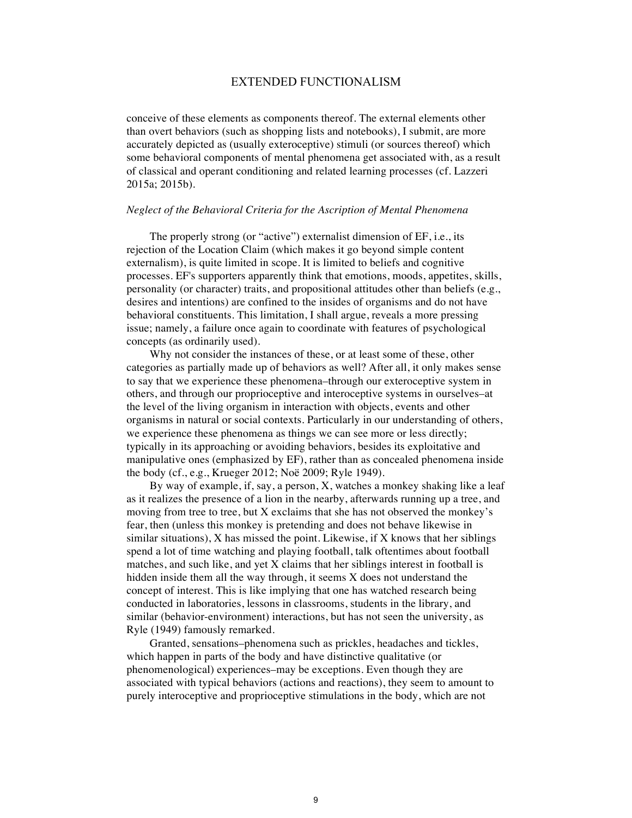conceive of these elements as components thereof. The external elements other than overt behaviors (such as shopping lists and notebooks), I submit, are more accurately depicted as (usually exteroceptive) stimuli (or sources thereof) which some behavioral components of mental phenomena get associated with, as a result of classical and operant conditioning and related learning processes (cf. Lazzeri 2015a; 2015b).

### *Neglect of the Behavioral Criteria for the Ascription of Mental Phenomena*

The properly strong (or "active") externalist dimension of EF, i.e., its rejection of the Location Claim (which makes it go beyond simple content externalism), is quite limited in scope. It is limited to beliefs and cognitive processes. EF's supporters apparently think that emotions, moods, appetites, skills, personality (or character) traits, and propositional attitudes other than beliefs (e.g., desires and intentions) are confined to the insides of organisms and do not have behavioral constituents. This limitation, I shall argue, reveals a more pressing issue; namely, a failure once again to coordinate with features of psychological concepts (as ordinarily used).

Why not consider the instances of these, or at least some of these, other categories as partially made up of behaviors as well? After all, it only makes sense to say that we experience these phenomena–through our exteroceptive system in others, and through our proprioceptive and interoceptive systems in ourselves–at the level of the living organism in interaction with objects, events and other organisms in natural or social contexts. Particularly in our understanding of others, we experience these phenomena as things we can see more or less directly; typically in its approaching or avoiding behaviors, besides its exploitative and manipulative ones (emphasized by EF), rather than as concealed phenomena inside the body (cf., e.g., Krueger 2012; Noë 2009; Ryle 1949).

By way of example, if, say, a person, X, watches a monkey shaking like a leaf as it realizes the presence of a lion in the nearby, afterwards running up a tree, and moving from tree to tree, but X exclaims that she has not observed the monkey's fear, then (unless this monkey is pretending and does not behave likewise in similar situations), X has missed the point. Likewise, if X knows that her siblings spend a lot of time watching and playing football, talk oftentimes about football matches, and such like, and yet X claims that her siblings interest in football is hidden inside them all the way through, it seems X does not understand the concept of interest. This is like implying that one has watched research being conducted in laboratories, lessons in classrooms, students in the library, and similar (behavior-environment) interactions, but has not seen the university, as Ryle (1949) famously remarked.

Granted, sensations–phenomena such as prickles, headaches and tickles, which happen in parts of the body and have distinctive qualitative (or phenomenological) experiences–may be exceptions. Even though they are associated with typical behaviors (actions and reactions), they seem to amount to purely interoceptive and proprioceptive stimulations in the body, which are not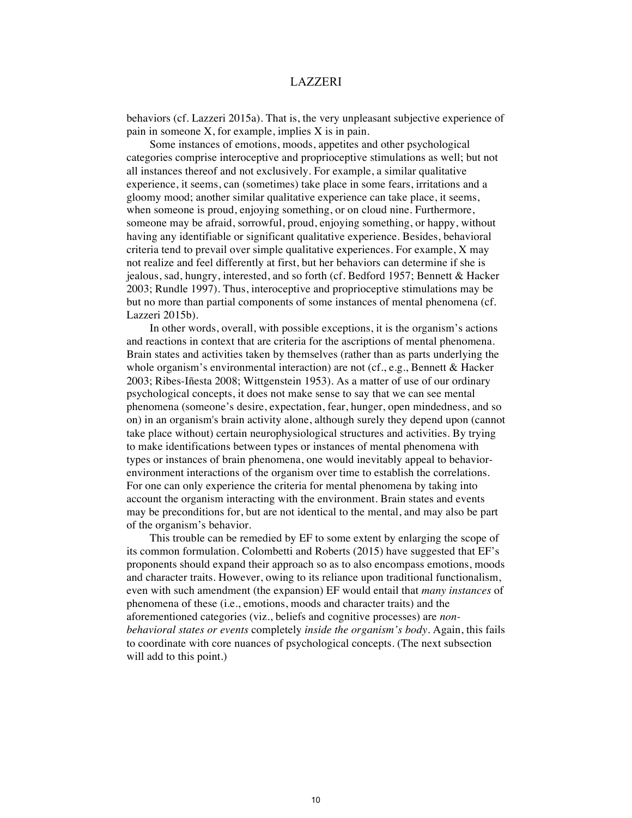behaviors (cf. Lazzeri 2015a). That is, the very unpleasant subjective experience of pain in someone X, for example, implies X is in pain.

Some instances of emotions, moods, appetites and other psychological categories comprise interoceptive and proprioceptive stimulations as well; but not all instances thereof and not exclusively. For example, a similar qualitative experience, it seems, can (sometimes) take place in some fears, irritations and a gloomy mood; another similar qualitative experience can take place, it seems, when someone is proud, enjoying something, or on cloud nine. Furthermore, someone may be afraid, sorrowful, proud, enjoying something, or happy, without having any identifiable or significant qualitative experience. Besides, behavioral criteria tend to prevail over simple qualitative experiences. For example, X may not realize and feel differently at first, but her behaviors can determine if she is jealous, sad, hungry, interested, and so forth (cf. Bedford 1957; Bennett & Hacker 2003; Rundle 1997). Thus, interoceptive and proprioceptive stimulations may be but no more than partial components of some instances of mental phenomena (cf. Lazzeri 2015b).

In other words, overall, with possible exceptions, it is the organism's actions and reactions in context that are criteria for the ascriptions of mental phenomena. Brain states and activities taken by themselves (rather than as parts underlying the whole organism's environmental interaction) are not (cf., e.g., Bennett & Hacker 2003; Ribes-Iñesta 2008; Wittgenstein 1953). As a matter of use of our ordinary psychological concepts, it does not make sense to say that we can see mental phenomena (someone's desire, expectation, fear, hunger, open mindedness, and so on) in an organism's brain activity alone, although surely they depend upon (cannot take place without) certain neurophysiological structures and activities. By trying to make identifications between types or instances of mental phenomena with types or instances of brain phenomena, one would inevitably appeal to behaviorenvironment interactions of the organism over time to establish the correlations. For one can only experience the criteria for mental phenomena by taking into account the organism interacting with the environment. Brain states and events may be preconditions for, but are not identical to the mental, and may also be part of the organism's behavior.

This trouble can be remedied by EF to some extent by enlarging the scope of its common formulation. Colombetti and Roberts (2015) have suggested that EF's proponents should expand their approach so as to also encompass emotions, moods and character traits. However, owing to its reliance upon traditional functionalism, even with such amendment (the expansion) EF would entail that *many instances* of phenomena of these (i.e., emotions, moods and character traits) and the aforementioned categories (viz., beliefs and cognitive processes) are *nonbehavioral states or events* completely *inside the organism's body*. Again, this fails to coordinate with core nuances of psychological concepts. (The next subsection will add to this point.)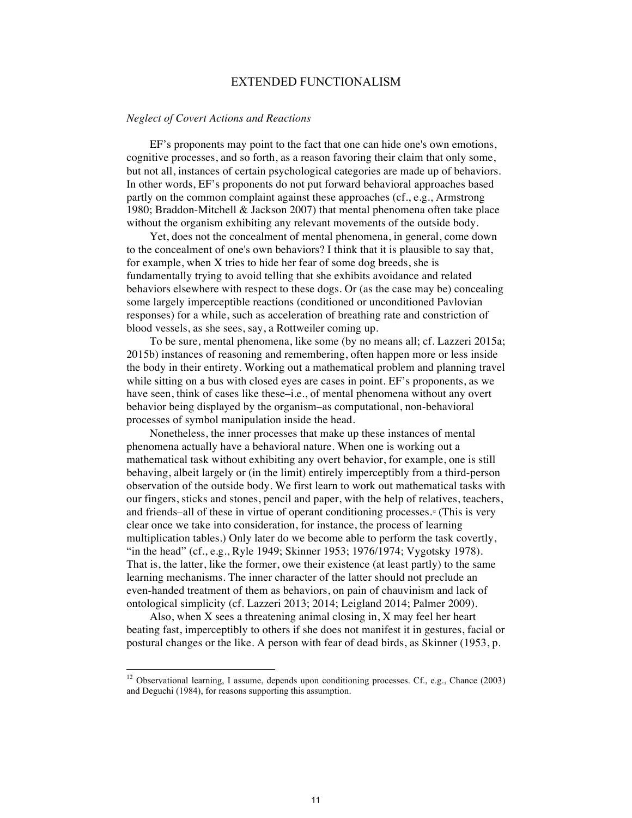#### *Neglect of Covert Actions and Reactions*

EF's proponents may point to the fact that one can hide one's own emotions, cognitive processes, and so forth, as a reason favoring their claim that only some, but not all, instances of certain psychological categories are made up of behaviors. In other words, EF's proponents do not put forward behavioral approaches based partly on the common complaint against these approaches (cf., e.g., Armstrong 1980; Braddon-Mitchell & Jackson 2007) that mental phenomena often take place without the organism exhibiting any relevant movements of the outside body.

Yet, does not the concealment of mental phenomena, in general, come down to the concealment of one's own behaviors? I think that it is plausible to say that, for example, when X tries to hide her fear of some dog breeds, she is fundamentally trying to avoid telling that she exhibits avoidance and related behaviors elsewhere with respect to these dogs. Or (as the case may be) concealing some largely imperceptible reactions (conditioned or unconditioned Pavlovian responses) for a while, such as acceleration of breathing rate and constriction of blood vessels, as she sees, say, a Rottweiler coming up.

To be sure, mental phenomena, like some (by no means all; cf. Lazzeri 2015a; 2015b) instances of reasoning and remembering, often happen more or less inside the body in their entirety. Working out a mathematical problem and planning travel while sitting on a bus with closed eyes are cases in point. EF's proponents, as we have seen, think of cases like these–i.e., of mental phenomena without any overt behavior being displayed by the organism–as computational, non-behavioral processes of symbol manipulation inside the head.

Nonetheless, the inner processes that make up these instances of mental phenomena actually have a behavioral nature. When one is working out a mathematical task without exhibiting any overt behavior, for example, one is still behaving, albeit largely or (in the limit) entirely imperceptibly from a third-person observation of the outside body. We first learn to work out mathematical tasks with our fingers, sticks and stones, pencil and paper, with the help of relatives, teachers, and friends–all of these in virtue of operant conditioning processes.<sup> $\alpha$ </sup> (This is very clear once we take into consideration, for instance, the process of learning multiplication tables.) Only later do we become able to perform the task covertly, "in the head" (cf., e.g., Ryle 1949; Skinner 1953; 1976/1974; Vygotsky 1978). That is, the latter, like the former, owe their existence (at least partly) to the same learning mechanisms. The inner character of the latter should not preclude an even-handed treatment of them as behaviors, on pain of chauvinism and lack of ontological simplicity (cf. Lazzeri 2013; 2014; Leigland 2014; Palmer 2009).

Also, when X sees a threatening animal closing in, X may feel her heart beating fast, imperceptibly to others if she does not manifest it in gestures, facial or postural changes or the like. A person with fear of dead birds, as Skinner (1953, p.

<sup>&</sup>lt;sup>12</sup> Observational learning, I assume, depends upon conditioning processes. Cf., e.g., Chance (2003) and Deguchi (1984), for reasons supporting this assumption.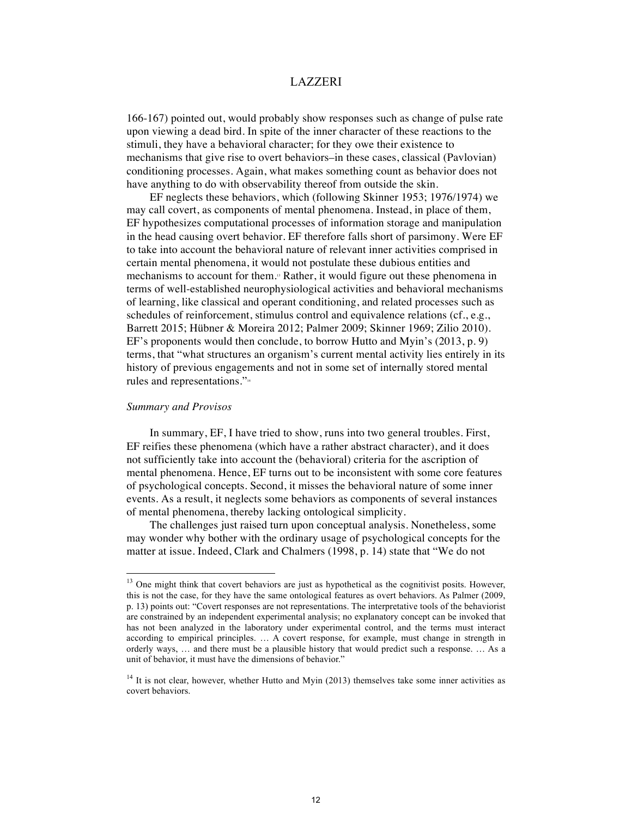166-167) pointed out, would probably show responses such as change of pulse rate upon viewing a dead bird. In spite of the inner character of these reactions to the stimuli, they have a behavioral character; for they owe their existence to mechanisms that give rise to overt behaviors–in these cases, classical (Pavlovian) conditioning processes. Again, what makes something count as behavior does not have anything to do with observability thereof from outside the skin.

EF neglects these behaviors, which (following Skinner 1953; 1976/1974) we may call covert, as components of mental phenomena. Instead, in place of them, EF hypothesizes computational processes of information storage and manipulation in the head causing overt behavior. EF therefore falls short of parsimony. Were EF to take into account the behavioral nature of relevant inner activities comprised in certain mental phenomena, it would not postulate these dubious entities and mechanisms to account for them.13 Rather, it would figure out these phenomena in terms of well-established neurophysiological activities and behavioral mechanisms of learning, like classical and operant conditioning, and related processes such as schedules of reinforcement, stimulus control and equivalence relations (cf., e.g., Barrett 2015; Hübner & Moreira 2012; Palmer 2009; Skinner 1969; Zilio 2010). EF's proponents would then conclude, to borrow Hutto and Myin's (2013, p. 9) terms, that "what structures an organism's current mental activity lies entirely in its history of previous engagements and not in some set of internally stored mental rules and representations."14

# *Summary and Provisos*

In summary, EF, I have tried to show, runs into two general troubles. First, EF reifies these phenomena (which have a rather abstract character), and it does not sufficiently take into account the (behavioral) criteria for the ascription of mental phenomena. Hence, EF turns out to be inconsistent with some core features of psychological concepts. Second, it misses the behavioral nature of some inner events. As a result, it neglects some behaviors as components of several instances of mental phenomena, thereby lacking ontological simplicity.

The challenges just raised turn upon conceptual analysis. Nonetheless, some may wonder why bother with the ordinary usage of psychological concepts for the matter at issue. Indeed, Clark and Chalmers (1998, p. 14) state that "We do not

<sup>&</sup>lt;sup>13</sup> One might think that covert behaviors are just as hypothetical as the cognitivist posits. However, this is not the case, for they have the same ontological features as overt behaviors. As Palmer (2009, p. 13) points out: "Covert responses are not representations. The interpretative tools of the behaviorist are constrained by an independent experimental analysis; no explanatory concept can be invoked that has not been analyzed in the laboratory under experimental control, and the terms must interact according to empirical principles. … A covert response, for example, must change in strength in orderly ways, … and there must be a plausible history that would predict such a response. … As a unit of behavior, it must have the dimensions of behavior."

 $14$  It is not clear, however, whether Hutto and Myin (2013) themselves take some inner activities as covert behaviors.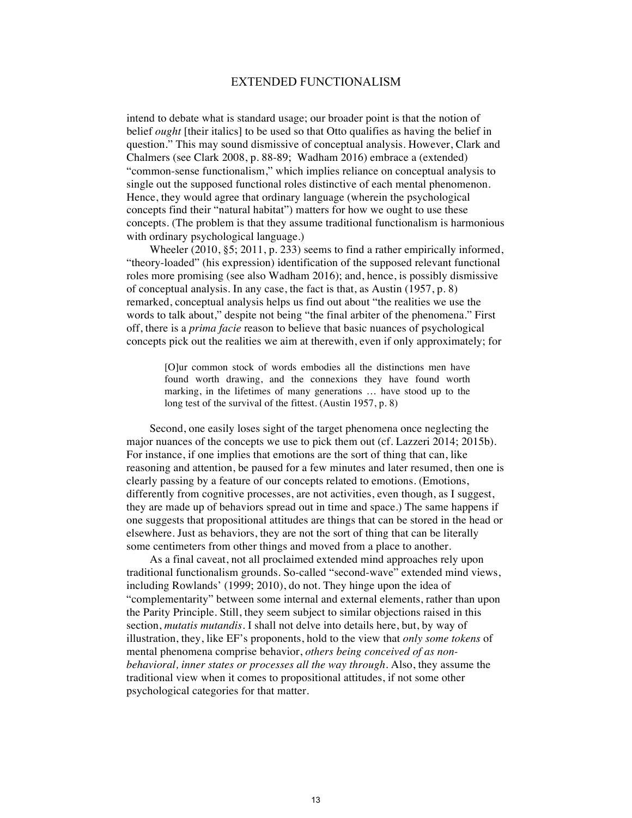intend to debate what is standard usage; our broader point is that the notion of belief *ought* [their italics] to be used so that Otto qualifies as having the belief in question." This may sound dismissive of conceptual analysis. However, Clark and Chalmers (see Clark 2008, p. 88-89; Wadham 2016) embrace a (extended) "common-sense functionalism," which implies reliance on conceptual analysis to single out the supposed functional roles distinctive of each mental phenomenon. Hence, they would agree that ordinary language (wherein the psychological concepts find their "natural habitat") matters for how we ought to use these concepts. (The problem is that they assume traditional functionalism is harmonious with ordinary psychological language.)

Wheeler (2010, §5; 2011, p. 233) seems to find a rather empirically informed, "theory-loaded" (his expression) identification of the supposed relevant functional roles more promising (see also Wadham 2016); and, hence, is possibly dismissive of conceptual analysis. In any case, the fact is that, as Austin (1957, p. 8) remarked, conceptual analysis helps us find out about "the realities we use the words to talk about," despite not being "the final arbiter of the phenomena." First off, there is a *prima facie* reason to believe that basic nuances of psychological concepts pick out the realities we aim at therewith, even if only approximately; for

[O]ur common stock of words embodies all the distinctions men have found worth drawing, and the connexions they have found worth marking, in the lifetimes of many generations … have stood up to the long test of the survival of the fittest. (Austin 1957, p. 8)

Second, one easily loses sight of the target phenomena once neglecting the major nuances of the concepts we use to pick them out (cf. Lazzeri 2014; 2015b). For instance, if one implies that emotions are the sort of thing that can, like reasoning and attention, be paused for a few minutes and later resumed, then one is clearly passing by a feature of our concepts related to emotions. (Emotions, differently from cognitive processes, are not activities, even though, as I suggest, they are made up of behaviors spread out in time and space.) The same happens if one suggests that propositional attitudes are things that can be stored in the head or elsewhere. Just as behaviors, they are not the sort of thing that can be literally some centimeters from other things and moved from a place to another.

As a final caveat, not all proclaimed extended mind approaches rely upon traditional functionalism grounds. So-called "second-wave" extended mind views, including Rowlands' (1999; 2010), do not. They hinge upon the idea of "complementarity" between some internal and external elements, rather than upon the Parity Principle. Still, they seem subject to similar objections raised in this section, *mutatis mutandis*. I shall not delve into details here, but, by way of illustration, they, like EF's proponents, hold to the view that *only some tokens* of mental phenomena comprise behavior, *others being conceived of as nonbehavioral, inner states or processes all the way through*. Also, they assume the traditional view when it comes to propositional attitudes, if not some other psychological categories for that matter.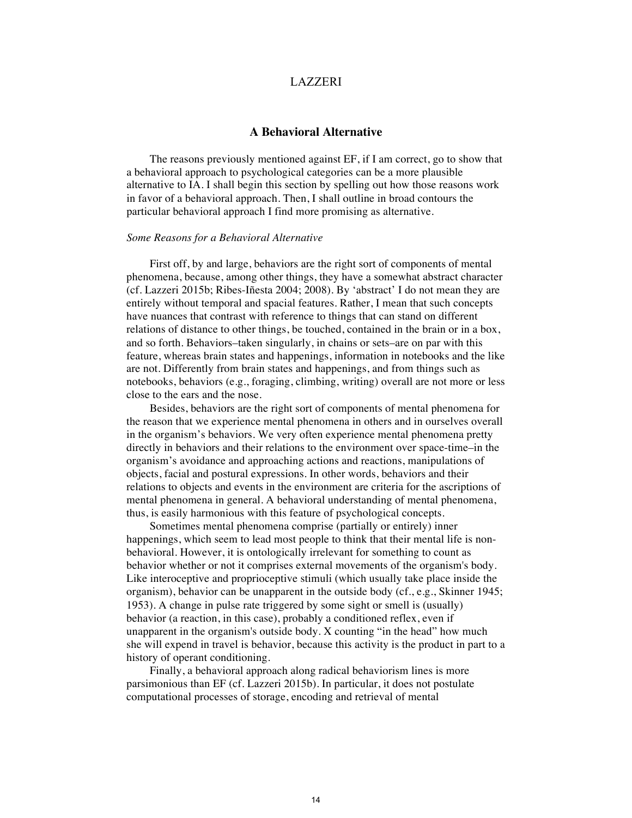## **A Behavioral Alternative**

The reasons previously mentioned against EF, if I am correct, go to show that a behavioral approach to psychological categories can be a more plausible alternative to IA. I shall begin this section by spelling out how those reasons work in favor of a behavioral approach. Then, I shall outline in broad contours the particular behavioral approach I find more promising as alternative.

#### *Some Reasons for a Behavioral Alternative*

First off, by and large, behaviors are the right sort of components of mental phenomena, because, among other things, they have a somewhat abstract character (cf. Lazzeri 2015b; Ribes-Iñesta 2004; 2008). By 'abstract' I do not mean they are entirely without temporal and spacial features. Rather, I mean that such concepts have nuances that contrast with reference to things that can stand on different relations of distance to other things, be touched, contained in the brain or in a box, and so forth. Behaviors–taken singularly, in chains or sets–are on par with this feature, whereas brain states and happenings, information in notebooks and the like are not. Differently from brain states and happenings, and from things such as notebooks, behaviors (e.g., foraging, climbing, writing) overall are not more or less close to the ears and the nose.

Besides, behaviors are the right sort of components of mental phenomena for the reason that we experience mental phenomena in others and in ourselves overall in the organism's behaviors. We very often experience mental phenomena pretty directly in behaviors and their relations to the environment over space-time–in the organism's avoidance and approaching actions and reactions, manipulations of objects, facial and postural expressions. In other words, behaviors and their relations to objects and events in the environment are criteria for the ascriptions of mental phenomena in general. A behavioral understanding of mental phenomena, thus, is easily harmonious with this feature of psychological concepts.

Sometimes mental phenomena comprise (partially or entirely) inner happenings, which seem to lead most people to think that their mental life is nonbehavioral. However, it is ontologically irrelevant for something to count as behavior whether or not it comprises external movements of the organism's body. Like interoceptive and proprioceptive stimuli (which usually take place inside the organism), behavior can be unapparent in the outside body (cf., e.g., Skinner 1945; 1953). A change in pulse rate triggered by some sight or smell is (usually) behavior (a reaction, in this case), probably a conditioned reflex, even if unapparent in the organism's outside body. X counting "in the head" how much she will expend in travel is behavior, because this activity is the product in part to a history of operant conditioning.

Finally, a behavioral approach along radical behaviorism lines is more parsimonious than EF (cf. Lazzeri 2015b). In particular, it does not postulate computational processes of storage, encoding and retrieval of mental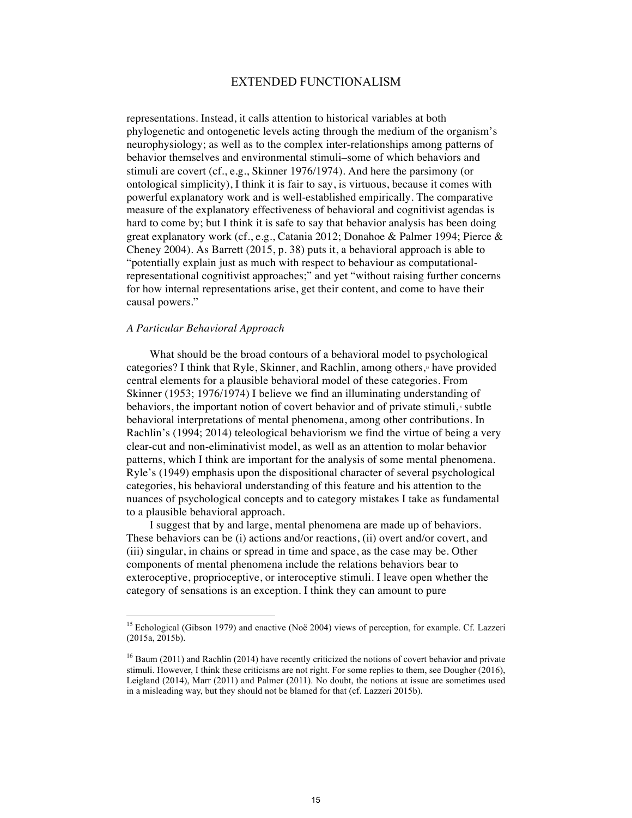representations. Instead, it calls attention to historical variables at both phylogenetic and ontogenetic levels acting through the medium of the organism's neurophysiology; as well as to the complex inter-relationships among patterns of behavior themselves and environmental stimuli–some of which behaviors and stimuli are covert (cf., e.g., Skinner 1976/1974). And here the parsimony (or ontological simplicity), I think it is fair to say, is virtuous, because it comes with powerful explanatory work and is well-established empirically. The comparative measure of the explanatory effectiveness of behavioral and cognitivist agendas is hard to come by; but I think it is safe to say that behavior analysis has been doing great explanatory work (cf., e.g., Catania 2012; Donahoe & Palmer 1994; Pierce & Cheney 2004). As Barrett (2015, p. 38) puts it, a behavioral approach is able to "potentially explain just as much with respect to behaviour as computationalrepresentational cognitivist approaches;" and yet "without raising further concerns for how internal representations arise, get their content, and come to have their causal powers."

### *A Particular Behavioral Approach*

What should be the broad contours of a behavioral model to psychological categories? I think that Ryle, Skinner, and Rachlin, among others,<sup> $\phi$ </sup> have provided central elements for a plausible behavioral model of these categories. From Skinner (1953; 1976/1974) I believe we find an illuminating understanding of behaviors, the important notion of covert behavior and of private stimuli,<sup>6</sup> subtle behavioral interpretations of mental phenomena, among other contributions. In Rachlin's (1994; 2014) teleological behaviorism we find the virtue of being a very clear-cut and non-eliminativist model, as well as an attention to molar behavior patterns, which I think are important for the analysis of some mental phenomena. Ryle's (1949) emphasis upon the dispositional character of several psychological categories, his behavioral understanding of this feature and his attention to the nuances of psychological concepts and to category mistakes I take as fundamental to a plausible behavioral approach.

I suggest that by and large, mental phenomena are made up of behaviors. These behaviors can be (i) actions and/or reactions, (ii) overt and/or covert, and (iii) singular, in chains or spread in time and space, as the case may be. Other components of mental phenomena include the relations behaviors bear to exteroceptive, proprioceptive, or interoceptive stimuli. I leave open whether the category of sensations is an exception. I think they can amount to pure

<sup>&</sup>lt;sup>15</sup> Echological (Gibson 1979) and enactive (Noë 2004) views of perception, for example. Cf. Lazzeri (2015a, 2015b).

<sup>&</sup>lt;sup>16</sup> Baum (2011) and Rachlin (2014) have recently criticized the notions of covert behavior and private stimuli. However, I think these criticisms are not right. For some replies to them, see Dougher (2016), Leigland (2014), Marr (2011) and Palmer (2011). No doubt, the notions at issue are sometimes used in a misleading way, but they should not be blamed for that (cf. Lazzeri 2015b).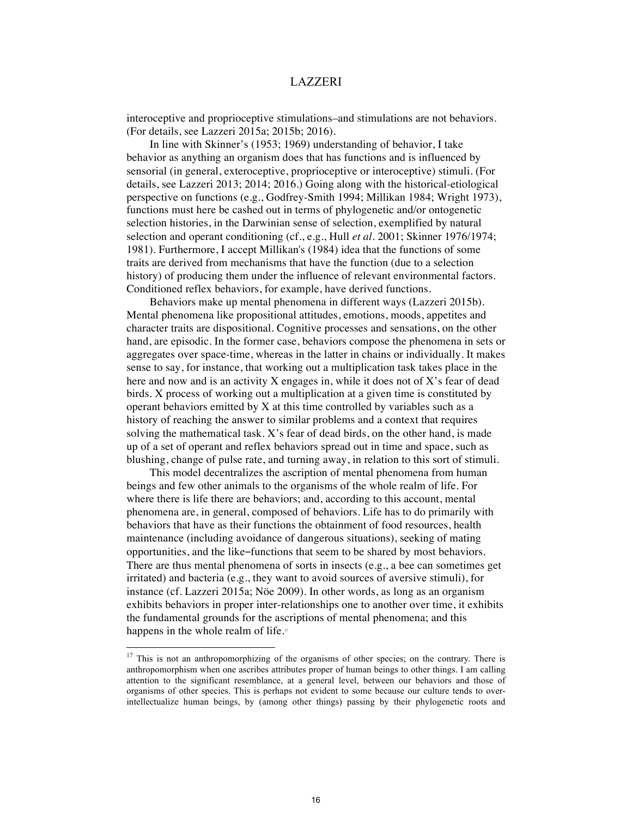interoceptive and proprioceptive stimulations–and stimulations are not behaviors. (For details, see Lazzeri 2015a; 2015b; 2016).

In line with Skinner's (1953; 1969) understanding of behavior, I take behavior as anything an organism does that has functions and is influenced by sensorial (in general, exteroceptive, proprioceptive or interoceptive) stimuli. (For details, see Lazzeri 2013; 2014; 2016.) Going along with the historical-etiological perspective on functions (e.g., Godfrey-Smith 1994; Millikan 1984; Wright 1973), functions must here be cashed out in terms of phylogenetic and/or ontogenetic selection histories, in the Darwinian sense of selection, exemplified by natural selection and operant conditioning (cf., e.g., Hull *et al.* 2001; Skinner 1976/1974; 1981). Furthermore, I accept Millikan's (1984) idea that the functions of some traits are derived from mechanisms that have the function (due to a selection history) of producing them under the influence of relevant environmental factors. Conditioned reflex behaviors, for example, have derived functions.

Behaviors make up mental phenomena in different ways (Lazzeri 2015b). Mental phenomena like propositional attitudes, emotions, moods, appetites and character traits are dispositional. Cognitive processes and sensations, on the other hand, are episodic. In the former case, behaviors compose the phenomena in sets or aggregates over space-time, whereas in the latter in chains or individually. It makes sense to say, for instance, that working out a multiplication task takes place in the here and now and is an activity X engages in, while it does not of X's fear of dead birds. X process of working out a multiplication at a given time is constituted by operant behaviors emitted by  $X$  at this time controlled by variables such as a history of reaching the answer to similar problems and a context that requires solving the mathematical task. X's fear of dead birds, on the other hand, is made up of a set of operant and reflex behaviors spread out in time and space, such as blushing, change of pulse rate, and turning away, in relation to this sort of stimuli.

This model decentralizes the ascription of mental phenomena from human beings and few other animals to the organisms of the whole realm of life. For where there is life there are behaviors; and, according to this account, mental phenomena are, in general, composed of behaviors. Life has to do primarily with behaviors that have as their functions the obtainment of food resources, health maintenance (including avoidance of dangerous situations), seeking of mating opportunities, and the like–functions that seem to be shared by most behaviors. There are thus mental phenomena of sorts in insects (e.g., a bee can sometimes get irritated) and bacteria (e.g., they want to avoid sources of aversive stimuli), for instance (cf. Lazzeri 2015a; Nöe 2009). In other words, as long as an organism exhibits behaviors in proper inter-relationships one to another over time, it exhibits the fundamental grounds for the ascriptions of mental phenomena; and this happens in the whole realm of life.<sup>17</sup>

<sup>&</sup>lt;sup>17</sup> This is not an anthropomorphizing of the organisms of other species; on the contrary. There is anthropomorphism when one ascribes attributes proper of human beings to other things. I am calling attention to the significant resemblance, at a general level, between our behaviors and those of organisms of other species. This is perhaps not evident to some because our culture tends to overintellectualize human beings, by (among other things) passing by their phylogenetic roots and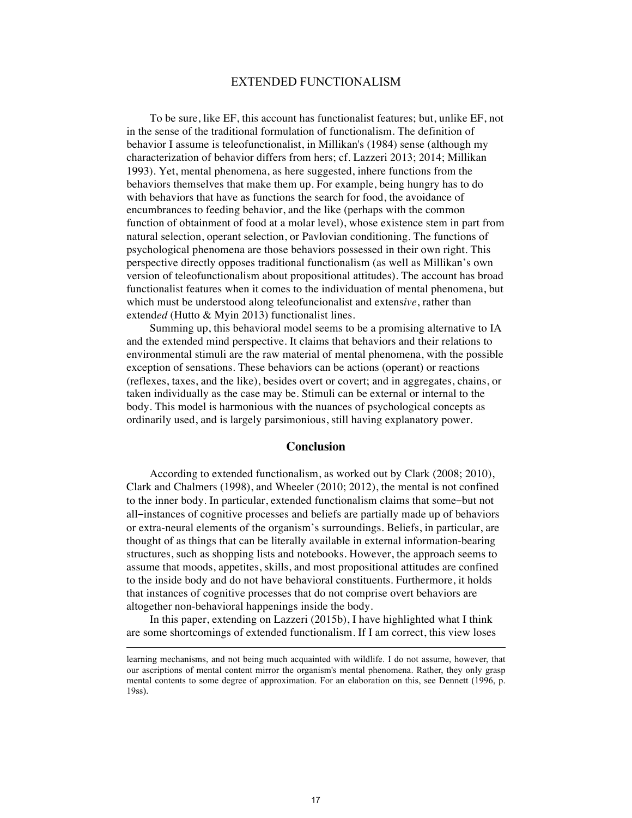To be sure, like EF, this account has functionalist features; but, unlike EF, not in the sense of the traditional formulation of functionalism. The definition of behavior I assume is teleofunctionalist, in Millikan's (1984) sense (although my characterization of behavior differs from hers; cf. Lazzeri 2013; 2014; Millikan 1993). Yet, mental phenomena, as here suggested, inhere functions from the behaviors themselves that make them up. For example, being hungry has to do with behaviors that have as functions the search for food, the avoidance of encumbrances to feeding behavior, and the like (perhaps with the common function of obtainment of food at a molar level), whose existence stem in part from natural selection, operant selection, or Pavlovian conditioning. The functions of psychological phenomena are those behaviors possessed in their own right. This perspective directly opposes traditional functionalism (as well as Millikan's own version of teleofunctionalism about propositional attitudes). The account has broad functionalist features when it comes to the individuation of mental phenomena, but which must be understood along teleofuncionalist and extens*ive*, rather than extend*ed* (Hutto & Myin 2013) functionalist lines.

Summing up, this behavioral model seems to be a promising alternative to IA and the extended mind perspective. It claims that behaviors and their relations to environmental stimuli are the raw material of mental phenomena, with the possible exception of sensations. These behaviors can be actions (operant) or reactions (reflexes, taxes, and the like), besides overt or covert; and in aggregates, chains, or taken individually as the case may be. Stimuli can be external or internal to the body. This model is harmonious with the nuances of psychological concepts as ordinarily used, and is largely parsimonious, still having explanatory power.

#### **Conclusion**

According to extended functionalism, as worked out by Clark (2008; 2010), Clark and Chalmers (1998), and Wheeler (2010; 2012), the mental is not confined to the inner body. In particular, extended functionalism claims that some-but not all–instances of cognitive processes and beliefs are partially made up of behaviors or extra-neural elements of the organism's surroundings. Beliefs, in particular, are thought of as things that can be literally available in external information-bearing structures, such as shopping lists and notebooks. However, the approach seems to assume that moods, appetites, skills, and most propositional attitudes are confined to the inside body and do not have behavioral constituents. Furthermore, it holds that instances of cognitive processes that do not comprise overt behaviors are altogether non-behavioral happenings inside the body.

In this paper, extending on Lazzeri (2015b), I have highlighted what I think are some shortcomings of extended functionalism. If I am correct, this view loses

learning mechanisms, and not being much acquainted with wildlife. I do not assume, however, that our ascriptions of mental content mirror the organism's mental phenomena. Rather, they only grasp mental contents to some degree of approximation. For an elaboration on this, see Dennett (1996, p. 19ss).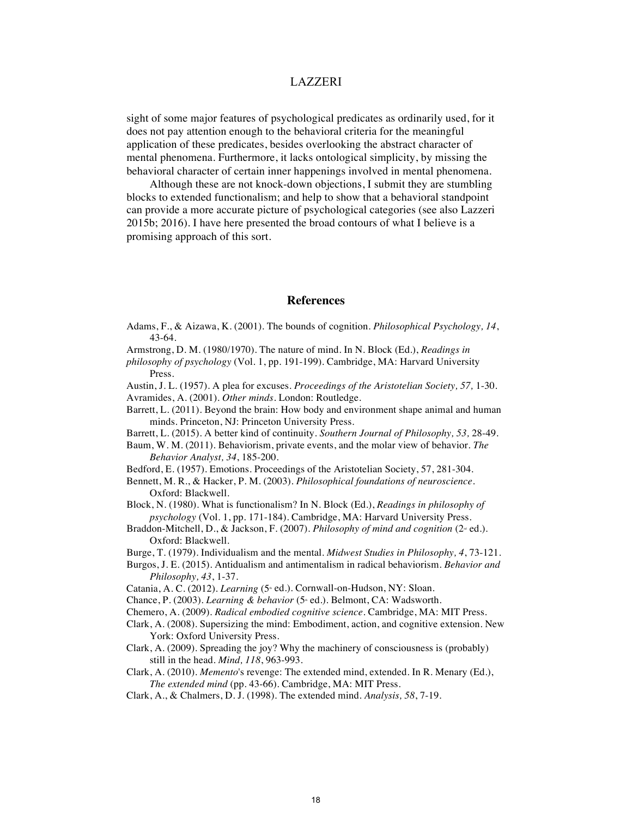sight of some major features of psychological predicates as ordinarily used, for it does not pay attention enough to the behavioral criteria for the meaningful application of these predicates, besides overlooking the abstract character of mental phenomena. Furthermore, it lacks ontological simplicity, by missing the behavioral character of certain inner happenings involved in mental phenomena.

Although these are not knock-down objections, I submit they are stumbling blocks to extended functionalism; and help to show that a behavioral standpoint can provide a more accurate picture of psychological categories (see also Lazzeri 2015b; 2016). I have here presented the broad contours of what I believe is a promising approach of this sort.

### **References**

- Adams, F., & Aizawa, K. (2001). The bounds of cognition. *Philosophical Psychology, 14*, 43-64.
- Armstrong, D. M. (1980/1970). The nature of mind. In N. Block (Ed.), *Readings in*
- *philosophy of psychology* (Vol. 1, pp. 191-199). Cambridge, MA: Harvard University Press.
- Austin, J. L. (1957). A plea for excuses. *Proceedings of the Aristotelian Society, 57,* 1-30. Avramides, A. (2001). *Other minds*. London: Routledge.
- Barrett, L. (2011). Beyond the brain: How body and environment shape animal and human minds. Princeton, NJ: Princeton University Press.
- Barrett, L. (2015). A better kind of continuity. *Southern Journal of Philosophy, 53,* 28-49.
- Baum, W. M. (2011). Behaviorism, private events, and the molar view of behavior. *The Behavior Analyst, 34*, 185-200.
- Bedford, E. (1957). Emotions. Proceedings of the Aristotelian Society, 57, 281-304.
- Bennett, M. R., & Hacker, P. M. (2003). *Philosophical foundations of neuroscience*. Oxford: Blackwell.
- Block, N. (1980). What is functionalism? In N. Block (Ed.), *Readings in philosophy of psychology* (Vol. 1, pp. 171-184). Cambridge, MA: Harvard University Press.
- Braddon-Mitchell, D., & Jackson, F. (2007). *Philosophy of mind and cognition* (2<sup>*e*</sup> ed.). Oxford: Blackwell.
- Burge, T. (1979). Individualism and the mental. *Midwest Studies in Philosophy, 4*, 73-121.
- Burgos, J. E. (2015). Antidualism and antimentalism in radical behaviorism. *Behavior and Philosophy, 43*, 1-37.
- Catania, A. C. (2012). *Learning* (5<sup>\*</sup> ed.). Cornwall-on-Hudson, NY: Sloan.
- Chance, P. (2003). *Learning & behavior* (5<sup>\*</sup> ed.). Belmont, CA: Wadsworth.
- Chemero, A. (2009). *Radical embodied cognitive science*. Cambridge, MA: MIT Press.
- Clark, A. (2008). Supersizing the mind: Embodiment, action, and cognitive extension. New York: Oxford University Press.
- Clark, A. (2009). Spreading the joy? Why the machinery of consciousness is (probably) still in the head. *Mind, 118*, 963-993.
- Clark, A. (2010). *Memento*'s revenge: The extended mind, extended. In R. Menary (Ed.), *The extended mind* (pp. 43-66). Cambridge, MA: MIT Press.
- Clark, A., & Chalmers, D. J. (1998). The extended mind. *Analysis, 58*, 7-19.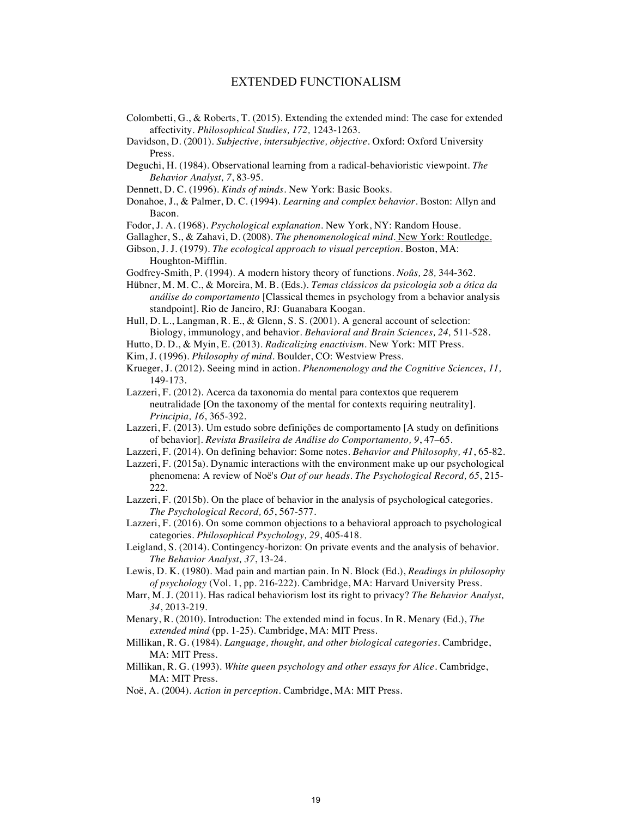- Colombetti, G., & Roberts, T. (2015). Extending the extended mind: The case for extended affectivity. *Philosophical Studies, 172,* 1243-1263.
- Davidson, D. (2001). *Subjective, intersubjective, objective*. Oxford: Oxford University Press.
- Deguchi, H. (1984). Observational learning from a radical-behavioristic viewpoint. *The Behavior Analyst, 7*, 83-95.
- Dennett, D. C. (1996). *Kinds of minds*. New York: Basic Books.
- Donahoe, J., & Palmer, D. C. (1994). *Learning and complex behavior*. Boston: Allyn and Bacon.
- Fodor, J. A. (1968). *Psychological explanation*. New York, NY: Random House.
- Gallagher, S., & Zahavi, D. (2008). *The phenomenological mind*. New York: Routledge.
- Gibson, J. J. (1979). *The ecological approach to visual perception*. Boston, MA: Houghton-Mifflin.
- Godfrey-Smith, P. (1994). A modern history theory of functions. *Noûs, 28,* 344-362.
- Hübner, M. M. C., & Moreira, M. B. (Eds.). *Temas clássicos da psicologia sob a ótica da análise do comportamento* [Classical themes in psychology from a behavior analysis standpoint]. Rio de Janeiro, RJ: Guanabara Koogan.
- Hull, D. L., Langman, R. E., & Glenn, S. S. (2001). A general account of selection: Biology, immunology, and behavior. *Behavioral and Brain Sciences, 24,* 511-528.
- Hutto, D. D., & Myin, E. (2013). *Radicalizing enactivism*. New York: MIT Press.
- Kim, J. (1996). *Philosophy of mind*. Boulder, CO: Westview Press.
- Krueger, J. (2012). Seeing mind in action. *Phenomenology and the Cognitive Sciences, 11,* 149-173.
- Lazzeri, F. (2012). Acerca da taxonomia do mental para contextos que requerem neutralidade [On the taxonomy of the mental for contexts requiring neutrality]. *Principia, 16*, 365-392.
- Lazzeri, F. (2013). Um estudo sobre definições de comportamento [A study on definitions of behavior]. *Revista Brasileira de Análise do Comportamento, 9*, 47–65.
- Lazzeri, F. (2014). On defining behavior: Some notes. *Behavior and Philosophy, 41*, 65-82.
- Lazzeri, F. (2015a). Dynamic interactions with the environment make up our psychological phenomena: A review of Noë's *Out of our heads*. *The Psychological Record, 65*, 215- 222.
- Lazzeri, F. (2015b). On the place of behavior in the analysis of psychological categories. *The Psychological Record, 65*, 567-577.
- Lazzeri, F. (2016). On some common objections to a behavioral approach to psychological categories. *Philosophical Psychology, 29*, 405-418.
- Leigland, S. (2014). Contingency-horizon: On private events and the analysis of behavior. *The Behavior Analyst, 37*, 13-24.
- Lewis, D. K. (1980). Mad pain and martian pain. In N. Block (Ed.), *Readings in philosophy of psychology* (Vol. 1, pp. 216-222). Cambridge, MA: Harvard University Press.
- Marr, M. J. (2011). Has radical behaviorism lost its right to privacy? *The Behavior Analyst, 34*, 2013-219.
- Menary, R. (2010). Introduction: The extended mind in focus. In R. Menary (Ed.), *The extended mind* (pp. 1-25). Cambridge, MA: MIT Press.
- Millikan, R. G. (1984). *Language, thought, and other biological categories*. Cambridge, MA: MIT Press.
- Millikan, R. G. (1993). *White queen psychology and other essays for Alice*. Cambridge, MA: MIT Press.
- Noë, A. (2004). *Action in perception*. Cambridge, MA: MIT Press.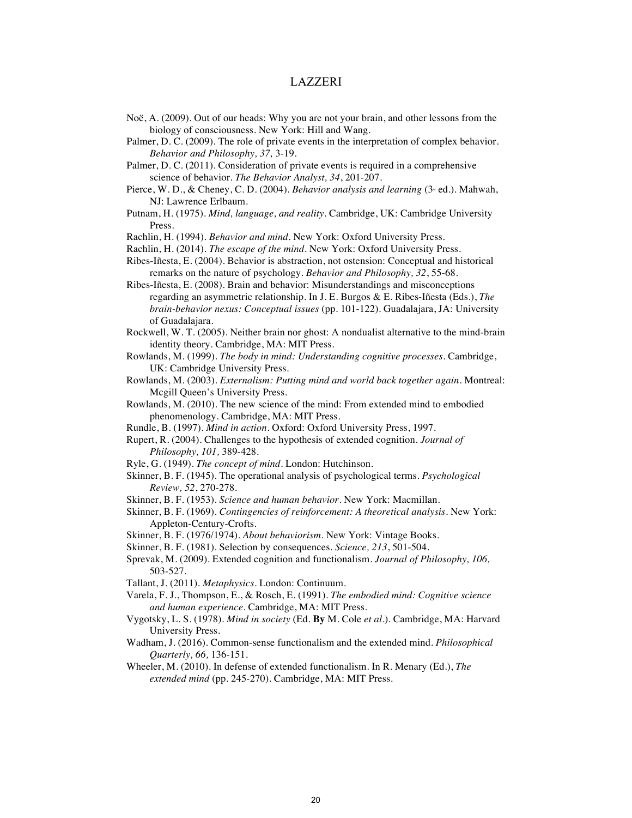- Noë, A. (2009). Out of our heads: Why you are not your brain, and other lessons from the biology of consciousness. New York: Hill and Wang.
- Palmer, D. C. (2009). The role of private events in the interpretation of complex behavior. *Behavior and Philosophy, 37,* 3-19.

Palmer, D. C. (2011). Consideration of private events is required in a comprehensive science of behavior. *The Behavior Analyst, 34*, 201-207.

- Pierce, W. D., & Cheney, C. D. (2004). *Behavior analysis and learning* (3<sup>d</sup> ed.). Mahwah, NJ: Lawrence Erlbaum.
- Putnam, H. (1975). *Mind, language, and reality*. Cambridge, UK: Cambridge University Press.
- Rachlin, H. (1994). *Behavior and mind*. New York: Oxford University Press.
- Rachlin, H. (2014). *The escape of the mind*. New York: Oxford University Press.
- Ribes-Iñesta, E. (2004). Behavior is abstraction, not ostension: Conceptual and historical remarks on the nature of psychology. *Behavior and Philosophy, 32*, 55-68.
- Ribes-Iñesta, E. (2008). Brain and behavior: Misunderstandings and misconceptions regarding an asymmetric relationship. In J. E. Burgos & E. Ribes-Iñesta (Eds.), *The brain-behavior nexus: Conceptual issues* (pp. 101-122). Guadalajara, JA: University of Guadalajara.
- Rockwell, W. T. (2005). Neither brain nor ghost: A nondualist alternative to the mind-brain identity theory. Cambridge, MA: MIT Press.
- Rowlands, M. (1999). *The body in mind: Understanding cognitive processes*. Cambridge, UK: Cambridge University Press.
- Rowlands, M. (2003). *Externalism: Putting mind and world back together again*. Montreal: Mcgill Queen's University Press.
- Rowlands, M. (2010). The new science of the mind: From extended mind to embodied phenomenology. Cambridge, MA: MIT Press.
- Rundle, B. (1997). *Mind in action*. Oxford: Oxford University Press, 1997.
- Rupert, R. (2004). Challenges to the hypothesis of extended cognition. *Journal of Philosophy, 101,* 389-428.
- Ryle, G. (1949). *The concept of mind*. London: Hutchinson.
- Skinner, B. F. (1945). The operational analysis of psychological terms. *Psychological Review, 52*, 270-278.
- Skinner, B. F. (1953). *Science and human behavior*. New York: Macmillan.
- Skinner, B. F. (1969). *Contingencies of reinforcement: A theoretical analysis*. New York: Appleton-Century-Crofts.
- Skinner, B. F. (1976/1974). *About behaviorism*. New York: Vintage Books.
- Skinner, B. F. (1981). Selection by consequences. *Science, 213*, 501-504.
- Sprevak, M. (2009). Extended cognition and functionalism. *Journal of Philosophy, 106,* 503-527.
- Tallant, J. (2011). *Metaphysics*. London: Continuum.
- Varela, F. J., Thompson, E., & Rosch, E. (1991). *The embodied mind: Cognitive science and human experience*. Cambridge, MA: MIT Press.
- Vygotsky, L. S. (1978). *Mind in society* (Ed. **By** M. Cole *et al.*). Cambridge, MA: Harvard University Press.
- Wadham, J. (2016). Common-sense functionalism and the extended mind. *Philosophical Quarterly, 66,* 136-151.
- Wheeler, M. (2010). In defense of extended functionalism. In R. Menary (Ed.), *The extended mind* (pp. 245-270). Cambridge, MA: MIT Press.